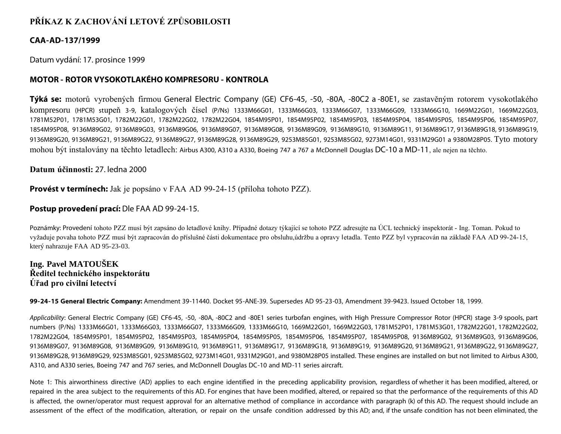# **PŘÍKAZ K ZACHOVÁNÍ LETOVÉ ZPŮSOBILOSTI**

## **CAA-AD-137/1999**

Datum vydání: 17. prosince 1999

## **MOTOR - ROTOR VYSOKOTLAKÉHO KOMPRESORU - KONTROLA**

**Týká se:** motorů vyrobených firmou General Electric Company (GE) CF6-45, -50, -80A, -80C2 a -80E1, se zastavěným rotorem vysokotlakého kompresoru (HPCR) stupeň 3-9, katalogových čísel (P/Ns) 1333M66G01, 1333M66G03, 1333M66G07, 1333M66G09, 1333M66G10, 1669M22G01, 1669M22G03, 1781M52P01, 1781M53G01, 1782M22G01, 1782M22G02, 1782M22G04, 1854M95P01, 1854M95P02, 1854M95P03, 1854M95P04, 1854M95P05, 1854M95P06, 1854M95P07, 1854M95P08, 9136M89G02, 9136M89G03, 9136M89G06, 9136M89G07, 9136M89G08, 9136M89G09, 9136M89G10, 9136M89G11, 9136M89G17, 9136M89G18, 9136M89G19, 9136M89G20, 9136M89G21, 9136M89G22, 9136M89G27, 9136M89G28, 9136M89G29, 9253M85G01, 9253M85G02, 9273M14G01, 9331M29G01 a 9380M28P05. Tyto motory mohou být instalovány na těchto letadlech: Airbus A300, A310 a A330, Boeing 747 a 767 a McDonnell Douglas DC-10 a MD-11, ale nejen na těchto.

**Datum účinnosti:** 27. ledna 2000

**Provést v termínech:** Jak je popsáno v FAA AD 99-24-15 (příloha tohoto PZZ).

## **Postup provedení prací:** Dle FAA AD 99-24-15.

Poznámky: Provedení tohoto PZZ musí být zapsáno do letadlové knihy. Případné dotazy týkající se tohoto PZZ adresujte na ÚCL technický inspektorát - Ing. Toman. Pokud to vyžaduje povaha tohoto PZZ musí být zapracován do příslušné části dokumentace pro obsluhu,údržbu a opravy letadla. Tento PZZ byl vypracován na základě FAA AD 99-24-15, který nahrazuje FAA AD 95-23-03.

## **Ing. Pavel MATOUŠEK Ředitel technického inspektorátu Úřad pro civilní letectví**

**99-24-15 General Electric Company:** Amendment 39-11440. Docket 95-ANE-39. Supersedes AD 95-23-03, Amendment 39-9423. Issued October 18, 1999.

*Applicability*: General Electric Company (GE) CF6-45, -50, -80A, -80C2 and -80E1 series turbofan engines, with High Pressure Compressor Rotor (HPCR) stage 3-9 spools, part numbers (P/Ns) 1333M66G01, 1333M66G03, 1333M66G07, 1333M66G09, 1333M66G10, 1669M22G01, 1669M22G03, 1781M52P01, 1781M53G01, 1782M22G01, 1782M22G02, 1782M22G04, 1854M95P01, 1854M95P02, 1854M95P03, 1854M95P04, 1854M95P05, 1854M95P06, 1854M95P07, 1854M95P08, 9136M89G02, 9136M89G03, 9136M89G06, 9136M89G07, 9136M89G08, 9136M89G09, 9136M89G10, 9136M89G11, 9136M89G17, 9136M89G18, 9136M89G19, 9136M89G20, 9136M89G21, 9136M89G22, 9136M89G27, 9136M89G28, 9136M89G29, 9253M85G01, 9253M85G02, 9273M14G01, 9331M29G01, and 9380M28P05 installed. These engines are installed on but not limited to Airbus A300, A310, and A330 series, Boeing 747 and 767 series, and McDonnell Douglas DC-10 and MD-11 series aircraft.

Note 1: This airworthiness directive (AD) applies to each engine identified in the preceding applicability provision, regardless of whether it has been modified, altered, or repaired in the area subject to the requirements of this AD. For engines that have been modified, altered, or repaired so that the performance of the requirements of this AD is affected, the owner/operator must request approval for an alternative method of compliance in accordance with paragraph (k) of this AD. The request should include an assessment of the effect of the modification, alteration, or repair on the unsafe condition addressed by this AD; and, if the unsafe condition has not been eliminated, the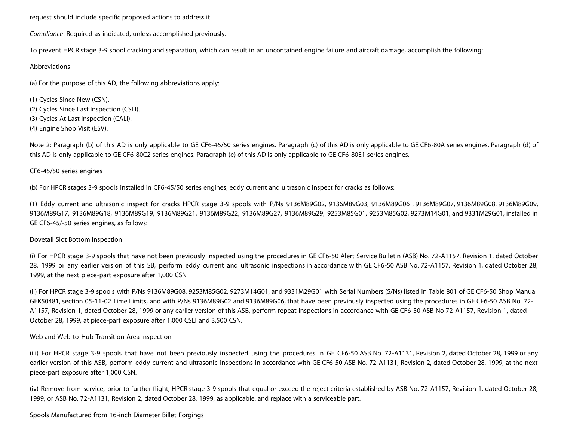request should include specific proposed actions to address it.

*Compliance*: Required as indicated, unless accomplished previously.

To prevent HPCR stage 3-9 spool cracking and separation, which can result in an uncontained engine failure and aircraft damage, accomplish the following:

## Abbreviations

(a) For the purpose of this AD, the following abbreviations apply:

(1) Cycles Since New (CSN). (2) Cycles Since Last Inspection (CSLI). (3) Cycles At Last Inspection (CALI). (4) Engine Shop Visit (ESV).

Note 2: Paragraph (b) of this AD is only applicable to GE CF6-45/50 series engines. Paragraph (c) of this AD is only applicable to GE CF6-80A series engines. Paragraph (d) of this AD is only applicable to GE CF6-80C2 series engines. Paragraph (e) of this AD is only applicable to GE CF6-80E1 series engines.

## CF6-45/50 series engines

(b) For HPCR stages 3-9 spools installed in CF6-45/50 series engines, eddy current and ultrasonic inspect for cracks as follows:

(1) Eddy current and ultrasonic inspect for cracks HPCR stage 3-9 spools with P/Ns 9136M89G02, 9136M89G03, 9136M89G06 , 9136M89G07, 9136M89G08, 9136M89G09, 9136M89G17, 9136M89G18, 9136M89G19, 9136M89G21, 9136M89G22, 9136M89G27, 9136M89G29, 9253M85G01, 9253M85G02, 9273M14G01, and 9331M29G01, installed in GE CF6-45/-50 series engines, as follows:

#### Dovetail Slot Bottom Inspection

(i) For HPCR stage 3-9 spools that have not been previously inspected using the procedures in GE CF6-50 Alert Service Bulletin (ASB) No. 72-A1157, Revision 1, dated October 28, 1999 or any earlier version of this SB, perform eddy current and ultrasonic inspections in accordance with GE CF6-50 ASB No. 72-A1157, Revision 1, dated October 28, 1999, at the next piece-part exposure after 1,000 CSN

(ii) For HPCR stage 3-9 spools with P/Ns 9136M89G08, 9253M85G02, 9273M14G01, and 9331M29G01 with Serial Numbers (S/Ns) listed in Table 801 of GE CF6-50 Shop Manual GEK50481, section 05-11-02 Time Limits, and with P/Ns 9136M89G02 and 9136M89G06, that have been previously inspected using the procedures in GE CF6-50 ASB No. 72- A1157, Revision 1, dated October 28, 1999 or any earlier version of this ASB, perform repeat inspections in accordance with GE CF6-50 ASB No 72-A1157, Revision 1, dated October 28, 1999, at piece-part exposure after 1,000 CSLI and 3,500 CSN.

## Web and Web-to-Hub Transition Area Inspection

(iii) For HPCR stage 3-9 spools that have not been previously inspected using the procedures in GE CF6-50 ASB No. 72-A1131, Revision 2, dated October 28, 1999 or any earlier version of this ASB, perform eddy current and ultrasonic inspections in accordance with GE CF6-50 ASB No. 72-A1131, Revision 2, dated October 28, 1999, at the next piece-part exposure after 1,000 CSN.

(iv) Remove from service, prior to further flight, HPCR stage 3-9 spools that equal or exceed the reject criteria established by ASB No. 72-A1157, Revision 1, dated October 28, 1999, or ASB No. 72-A1131, Revision 2, dated October 28, 1999, as applicable, and replace with a serviceable part.

Spools Manufactured from 16-inch Diameter Billet Forgings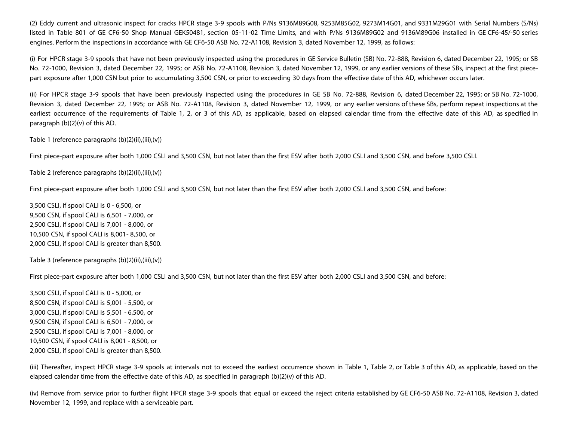(2) Eddy current and ultrasonic inspect for cracks HPCR stage 3-9 spools with P/Ns 9136M89G08, 9253M85G02, 9273M14G01, and 9331M29G01 with Serial Numbers (S/Ns) listed in Table 801 of GE CF6-50 Shop Manual GEK50481, section 05-11-02 Time Limits, and with P/Ns 9136M89G02 and 9136M89G06 installed in GE CF6-45/-50 series engines. Perform the inspections in accordance with GE CF6-50 ASB No. 72-A1108, Revision 3, dated November 12, 1999, as follows:

(i) For HPCR stage 3-9 spools that have not been previously inspected using the procedures in GE Service Bulletin (SB) No. 72-888, Revision 6, dated December 22, 1995; or SB No. 72-1000, Revision 3, dated December 22, 1995; or ASB No. 72-A1108, Revision 3, dated November 12, 1999, or any earlier versions of these SBs, inspect at the first piecepart exposure after 1,000 CSN but prior to accumulating 3,500 CSN, or prior to exceeding 30 days from the effective date of this AD, whichever occurs later.

(ii) For HPCR stage 3-9 spools that have been previously inspected using the procedures in GE SB No. 72-888, Revision 6, dated December 22, 1995; or SB No. 72-1000, Revision 3, dated December 22, 1995; or ASB No. 72-A1108, Revision 3, dated November 12, 1999, or any earlier versions of these SBs, perform repeat inspections at the earliest occurrence of the requirements of Table 1, 2, or 3 of this AD, as applicable, based on elapsed calendar time from the effective date of this AD, as specified in paragraph (b)(2)(v) of this AD.

Table 1 (reference paragraphs (b)(2)(ii),(iii),(v))

First piece-part exposure after both 1,000 CSLI and 3,500 CSN, but not later than the first ESV after both 2,000 CSLI and 3,500 CSN, and before 3,500 CSLI.

Table 2 (reference paragraphs (b)(2)(ii),(iii),(v))

First piece-part exposure after both 1,000 CSLI and 3,500 CSN, but not later than the first ESV after both 2,000 CSLI and 3,500 CSN, and before:

3,500 CSLI, if spool CALI is 0 - 6,500, or 9,500 CSN, if spool CALI is 6,501 - 7,000, or 2,500 CSLI, if spool CALI is 7,001 - 8,000, or 10,500 CSN, if spool CALI is 8,001- 8,500, or 2,000 CSLI, if spool CALI is greater than 8,500.

Table 3 (reference paragraphs (b)(2)(ii),(iii),(v))

First piece-part exposure after both 1,000 CSLI and 3,500 CSN, but not later than the first ESV after both 2,000 CSLI and 3,500 CSN, and before:

3,500 CSLI, if spool CALI is 0 - 5,000, or 8,500 CSN, if spool CALI is 5,001 - 5,500, or 3,000 CSLI, if spool CALI is 5,501 - 6,500, or 9,500 CSN, if spool CALI is 6,501 - 7,000, or 2,500 CSLI, if spool CALI is 7,001 - 8,000, or 10,500 CSN, if spool CALI is 8,001 - 8,500, or 2,000 CSLI, if spool CALI is greater than 8,500.

(iii) Thereafter, inspect HPCR stage 3-9 spools at intervals not to exceed the earliest occurrence shown in Table 1, Table 2, or Table 3 of this AD, as applicable, based on the elapsed calendar time from the effective date of this AD, as specified in paragraph (b)(2)(v) of this AD.

(iv) Remove from service prior to further flight HPCR stage 3-9 spools that equal or exceed the reject criteria established by GE CF6-50 ASB No. 72-A1108, Revision 3, dated November 12, 1999, and replace with a serviceable part.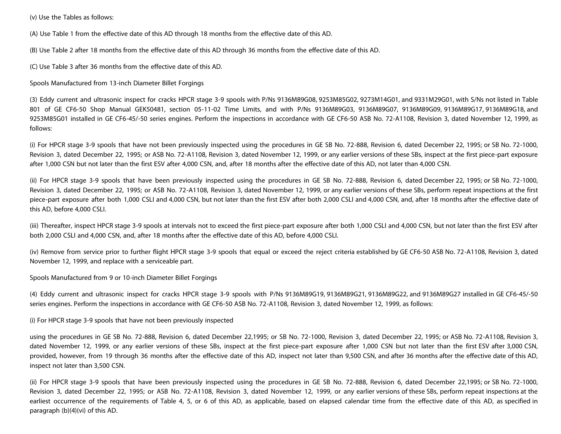(v) Use the Tables as follows:

(A) Use Table 1 from the effective date of this AD through 18 months from the effective date of this AD.

(B) Use Table 2 after 18 months from the effective date of this AD through 36 months from the effective date of this AD.

(C) Use Table 3 after 36 months from the effective date of this AD.

Spools Manufactured from 13-inch Diameter Billet Forgings

(3) Eddy current and ultrasonic inspect for cracks HPCR stage 3-9 spools with P/Ns 9136M89G08, 9253M85G02, 9273M14G01, and 9331M29G01, with S/Ns not listed in Table 801 of GE CF6-50 Shop Manual GEK50481, section 05-11-02 Time Limits, and with P/Ns 9136M89G03, 9136M89G07, 9136M89G09, 9136M89G17, 9136M89G18, and 9253M85G01 installed in GE CF6-45/-50 series engines. Perform the inspections in accordance with GE CF6-50 ASB No. 72-A1108, Revision 3, dated November 12, 1999, as follows:

(i) For HPCR stage 3-9 spools that have not been previously inspected using the procedures in GE SB No. 72-888, Revision 6, dated December 22, 1995; or SB No. 72-1000, Revision 3, dated December 22, 1995; or ASB No. 72-A1108, Revision 3, dated November 12, 1999, or any earlier versions of these SBs, inspect at the first piece-part exposure after 1,000 CSN but not later than the first ESV after 4,000 CSN, and, after 18 months after the effective date of this AD, not later than 4,000 CSN.

(ii) For HPCR stage 3-9 spools that have been previously inspected using the procedures in GE SB No. 72-888, Revision 6, dated December 22, 1995; or SB No. 72-1000, Revision 3, dated December 22, 1995; or ASB No. 72-A1108, Revision 3, dated November 12, 1999, or any earlier versions of these SBs, perform repeat inspections at the first piece-part exposure after both 1,000 CSLI and 4,000 CSN, but not later than the first ESV after both 2,000 CSLI and 4,000 CSN, and, after 18 months after the effective date of this AD, before 4,000 CSLI.

(iii) Thereafter, inspect HPCR stage 3-9 spools at intervals not to exceed the first piece-part exposure after both 1,000 CSLI and 4,000 CSN, but not later than the first ESV after both 2,000 CSLI and 4,000 CSN, and, after 18 months after the effective date of this AD, before 4,000 CSLI.

(iv) Remove from service prior to further flight HPCR stage 3-9 spools that equal or exceed the reject criteria established by GE CF6-50 ASB No. 72-A1108, Revision 3, dated November 12, 1999, and replace with a serviceable part.

Spools Manufactured from 9 or 10-inch Diameter Billet Forgings

(4) Eddy current and ultrasonic inspect for cracks HPCR stage 3-9 spools with P/Ns 9136M89G19, 9136M89G21, 9136M89G22, and 9136M89G27 installed in GE CF6-45/-50 series engines. Perform the inspections in accordance with GE CF6-50 ASB No. 72-A1108, Revision 3, dated November 12, 1999, as follows:

(i) For HPCR stage 3-9 spools that have not been previously inspected

using the procedures in GE SB No. 72-888, Revision 6, dated December 22,1995; or SB No. 72-1000, Revision 3, dated December 22, 1995; or ASB No. 72-A1108, Revision 3, dated November 12, 1999, or any earlier versions of these SBs, inspect at the first piece-part exposure after 1,000 CSN but not later than the first ESV after 3,000 CSN, provided, however, from 19 through 36 months after the effective date of this AD, inspect not later than 9,500 CSN, and after 36 months after the effective date of this AD, inspect not later than 3,500 CSN.

(ii) For HPCR stage 3-9 spools that have been previously inspected using the procedures in GE SB No. 72-888, Revision 6, dated December 22,1995; or SB No. 72-1000, Revision 3, dated December 22, 1995; or ASB No. 72-A1108, Revision 3, dated November 12, 1999, or any earlier versions of these SBs, perform repeat inspections at the earliest occurrence of the requirements of Table 4, 5, or 6 of this AD, as applicable, based on elapsed calendar time from the effective date of this AD, as specified in paragraph (b)(4)(vi) of this AD.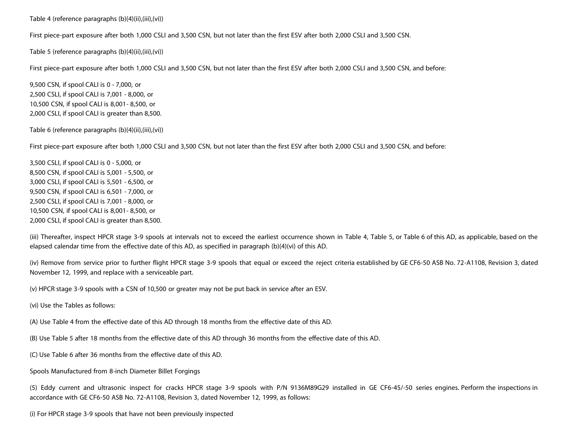Table 4 (reference paragraphs (b)(4)(ii),(iii),(vi))

First piece-part exposure after both 1,000 CSLI and 3,500 CSN, but not later than the first ESV after both 2,000 CSLI and 3,500 CSN.

Table 5 (reference paragraphs (b)(4)(ii),(iii),(vi))

First piece-part exposure after both 1,000 CSLI and 3,500 CSN, but not later than the first ESV after both 2,000 CSLI and 3,500 CSN, and before:

9,500 CSN, if spool CALI is 0 - 7,000, or 2,500 CSLI, if spool CALI is 7,001 - 8,000, or 10,500 CSN, if spool CALI is 8,001- 8,500, or 2,000 CSLI, if spool CALI is greater than 8,500.

Table 6 (reference paragraphs (b)(4)(ii),(iii),(vi))

First piece-part exposure after both 1,000 CSLI and 3,500 CSN, but not later than the first ESV after both 2,000 CSLI and 3,500 CSN, and before:

3,500 CSLI, if spool CALI is 0 - 5,000, or 8,500 CSN, if spool CALI is 5,001 - 5,500, or 3,000 CSLI, if spool CALI is 5,501 - 6,500, or 9,500 CSN, if spool CALI is 6,501 - 7,000, or 2,500 CSLI, if spool CALI is 7,001 - 8,000, or 10,500 CSN, if spool CALI is 8,001- 8,500, or 2,000 CSLI, if spool CALI is greater than 8,500.

(iii) Thereafter, inspect HPCR stage 3-9 spools at intervals not to exceed the earliest occurrence shown in Table 4, Table 5, or Table 6 of this AD, as applicable, based on the elapsed calendar time from the effective date of this AD, as specified in paragraph (b)(4)(vi) of this AD.

(iv) Remove from service prior to further flight HPCR stage 3-9 spools that equal or exceed the reject criteria established by GE CF6-50 ASB No. 72-A1108, Revision 3, dated November 12, 1999, and replace with a serviceable part.

(v) HPCR stage 3-9 spools with a CSN of 10,500 or greater may not be put back in service after an ESV.

(vi) Use the Tables as follows:

(A) Use Table 4 from the effective date of this AD through 18 months from the effective date of this AD.

(B) Use Table 5 after 18 months from the effective date of this AD through 36 months from the effective date of this AD.

(C) Use Table 6 after 36 months from the effective date of this AD.

Spools Manufactured from 8-inch Diameter Billet Forgings

(5) Eddy current and ultrasonic inspect for cracks HPCR stage 3-9 spools with P/N 9136M89G29 installed in GE CF6-45/-50 series engines. Perform the inspections in accordance with GE CF6-50 ASB No. 72-A1108, Revision 3, dated November 12, 1999, as follows:

(i) For HPCR stage 3-9 spools that have not been previously inspected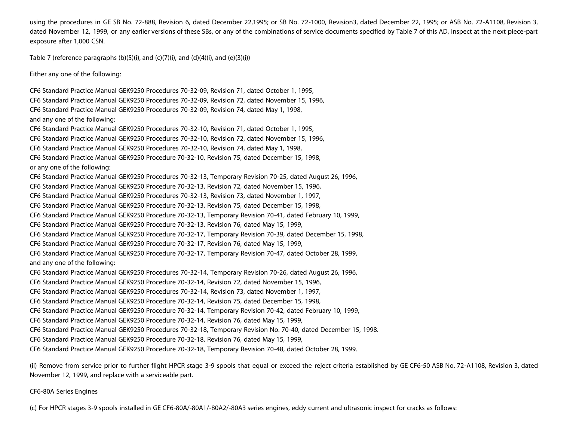using the procedures in GE SB No. 72-888, Revision 6, dated December 22,1995; or SB No. 72-1000, Revision3, dated December 22, 1995; or ASB No. 72-A1108, Revision 3, dated November 12, 1999, or any earlier versions of these SBs, or any of the combinations of service documents specified by Table 7 of this AD, inspect at the next piece-part exposure after 1,000 CSN.

Table 7 (reference paragraphs  $(b)(5)(i)$ , and  $(c)(7)(i)$ , and  $(d)(4)(i)$ , and  $(e)(3)(i)$ )

Either any one of the following:

CF6 Standard Practice Manual GEK9250 Procedures 70-32-09, Revision 71, dated October 1, 1995, CF6 Standard Practice Manual GEK9250 Procedures 70-32-09, Revision 72, dated November 15, 1996, CF6 Standard Practice Manual GEK9250 Procedures 70-32-09, Revision 74, dated May 1, 1998, and any one of the following: CF6 Standard Practice Manual GEK9250 Procedures 70-32-10, Revision 71, dated October 1, 1995, CF6 Standard Practice Manual GEK9250 Procedures 70-32-10, Revision 72, dated November 15, 1996, CF6 Standard Practice Manual GEK9250 Procedures 70-32-10, Revision 74, dated May 1, 1998, CF6 Standard Practice Manual GEK9250 Procedure 70-32-10, Revision 75, dated December 15, 1998, or any one of the following: CF6 Standard Practice Manual GEK9250 Procedures 70-32-13, Temporary Revision 70-25, dated August 26, 1996, CF6 Standard Practice Manual GEK9250 Procedure 70-32-13, Revision 72, dated November 15, 1996, CF6 Standard Practice Manual GEK9250 Procedures 70-32-13, Revision 73, dated November 1, 1997, CF6 Standard Practice Manual GEK9250 Procedure 70-32-13, Revision 75, dated December 15, 1998, CF6 Standard Practice Manual GEK9250 Procedure 70-32-13, Temporary Revision 70-41, dated February 10, 1999, CF6 Standard Practice Manual GEK9250 Procedure 70-32-13, Revision 76, dated May 15, 1999, CF6 Standard Practice Manual GEK9250 Procedure 70-32-17, Temporary Revision 70-39, dated December 15, 1998, CF6 Standard Practice Manual GEK9250 Procedure 70-32-17, Revision 76, dated May 15, 1999, CF6 Standard Practice Manual GEK9250 Procedure 70-32-17, Temporary Revision 70-47, dated October 28, 1999, and any one of the following: CF6 Standard Practice Manual GEK9250 Procedures 70-32-14, Temporary Revision 70-26, dated August 26, 1996, CF6 Standard Practice Manual GEK9250 Procedure 70-32-14, Revision 72, dated November 15, 1996, CF6 Standard Practice Manual GEK9250 Procedures 70-32-14, Revision 73, dated November 1, 1997, CF6 Standard Practice Manual GEK9250 Procedure 70-32-14, Revision 75, dated December 15, 1998, CF6 Standard Practice Manual GEK9250 Procedure 70-32-14, Temporary Revision 70-42, dated February 10, 1999, CF6 Standard Practice Manual GEK9250 Procedure 70-32-14, Revision 76, dated May 15, 1999, CF6 Standard Practice Manual GEK9250 Procedures 70-32-18, Temporary Revision No. 70-40, dated December 15, 1998. CF6 Standard Practice Manual GEK9250 Procedure 70-32-18, Revision 76, dated May 15, 1999, CF6 Standard Practice Manual GEK9250 Procedure 70-32-18, Temporary Revision 70-48, dated October 28, 1999.

(ii) Remove from service prior to further flight HPCR stage 3-9 spools that equal or exceed the reject criteria established by GE CF6-50 ASB No. 72-A1108, Revision 3, dated November 12, 1999, and replace with a serviceable part.

CF6-80A Series Engines

(c) For HPCR stages 3-9 spools installed in GE CF6-80A/-80A1/-80A2/-80A3 series engines, eddy current and ultrasonic inspect for cracks as follows: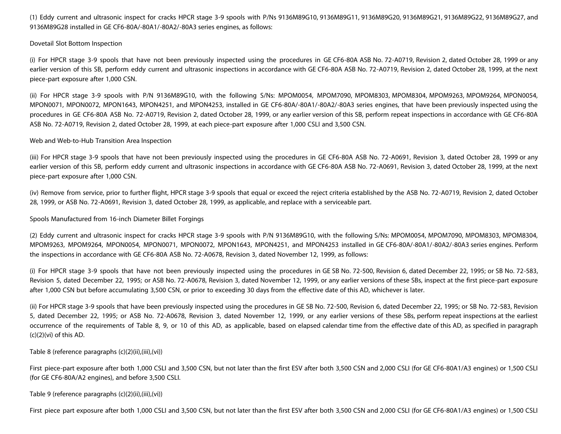(1) Eddy current and ultrasonic inspect for cracks HPCR stage 3-9 spools with P/Ns 9136M89G10, 9136M89G11, 9136M89G20, 9136M89G21, 9136M89G22, 9136M89G27, and 9136M89G28 installed in GE CF6-80A/-80A1/-80A2/-80A3 series engines, as follows:

Dovetail Slot Bottom Inspection

(i) For HPCR stage 3-9 spools that have not been previously inspected using the procedures in GE CF6-80A ASB No. 72-A0719, Revision 2, dated October 28, 1999 or any earlier version of this SB, perform eddy current and ultrasonic inspections in accordance with GE CF6-80A ASB No. 72-A0719, Revision 2, dated October 28, 1999, at the next piece-part exposure after 1,000 CSN.

(ii) For HPCR stage 3-9 spools with P/N 9136M89G10, with the following S/Ns: MPOM0054, MPOM7090, MPOM8303, MPOM8304, MPOM9263, MPOM9264, MPON0054, MPON0071, MPON0072, MPON1643, MPON4251, and MPON4253, installed in GE CF6-80A/-80A1/-80A2/-80A3 series engines, that have been previously inspected using the procedures in GE CF6-80A ASB No. 72-A0719, Revision 2, dated October 28, 1999, or any earlier version of this SB, perform repeat inspections in accordance with GE CF6-80A ASB No. 72-A0719, Revision 2, dated October 28, 1999, at each piece-part exposure after 1,000 CSLI and 3,500 CSN.

Web and Web-to-Hub Transition Area Inspection

(iii) For HPCR stage 3-9 spools that have not been previously inspected using the procedures in GE CF6-80A ASB No. 72-A0691, Revision 3, dated October 28, 1999 or any earlier version of this SB, perform eddy current and ultrasonic inspections in accordance with GE CF6-80A ASB No. 72-A0691, Revision 3, dated October 28, 1999, at the next piece-part exposure after 1,000 CSN.

(iv) Remove from service, prior to further flight, HPCR stage 3-9 spools that equal or exceed the reject criteria established by the ASB No. 72-A0719, Revision 2, dated October 28, 1999, or ASB No. 72-A0691, Revision 3, dated October 28, 1999, as applicable, and replace with a serviceable part.

Spools Manufactured from 16-inch Diameter Billet Forgings

(2) Eddy current and ultrasonic inspect for cracks HPCR stage 3-9 spools with P/N 9136M89G10, with the following S/Ns: MPOM0054, MPOM7090, MPOM8303, MPOM8304, MPOM9263, MPOM9264, MPON0054, MPON0071, MPON0072, MPON1643, MPON4251, and MPON4253 installed in GE CF6-80A/-80A1/-80A2/-80A3 series engines. Perform the inspections in accordance with GE CF6-80A ASB No. 72-A0678, Revision 3, dated November 12, 1999, as follows:

(i) For HPCR stage 3-9 spools that have not been previously inspected using the procedures in GE SB No. 72-500, Revision 6, dated December 22, 1995; or SB No. 72-583, Revision 5, dated December 22, 1995; or ASB No. 72-A0678, Revision 3, dated November 12, 1999, or any earlier versions of these SBs, inspect at the first piece-part exposure after 1,000 CSN but before accumulating 3,500 CSN, or prior to exceeding 30 days from the effective date of this AD, whichever is later.

(ii) For HPCR stage 3-9 spools that have been previously inspected using the procedures in GE SB No. 72-500, Revision 6, dated December 22, 1995; or SB No. 72-583, Revision 5, dated December 22, 1995; or ASB No. 72-A0678, Revision 3, dated November 12, 1999, or any earlier versions of these SBs, perform repeat inspections at the earliest occurrence of the requirements of Table 8, 9, or 10 of this AD, as applicable, based on elapsed calendar time from the effective date of this AD, as specified in paragraph  $(c)(2)(vi)$  of this AD.

Table 8 (reference paragraphs (c)(2)(ii),(iii),(vi))

First piece-part exposure after both 1,000 CSLI and 3,500 CSN, but not later than the first ESV after both 3,500 CSN and 2,000 CSLI (for GE CF6-80A1/A3 engines) or 1,500 CSLI (for GE CF6-80A/A2 engines), and before 3,500 CSLI.

Table 9 (reference paragraphs (c)(2)(ii),(iii),(vi))

First piece part exposure after both 1,000 CSLI and 3,500 CSN, but not later than the first ESV after both 3,500 CSN and 2,000 CSLI (for GE CF6-80A1/A3 engines) or 1,500 CSLI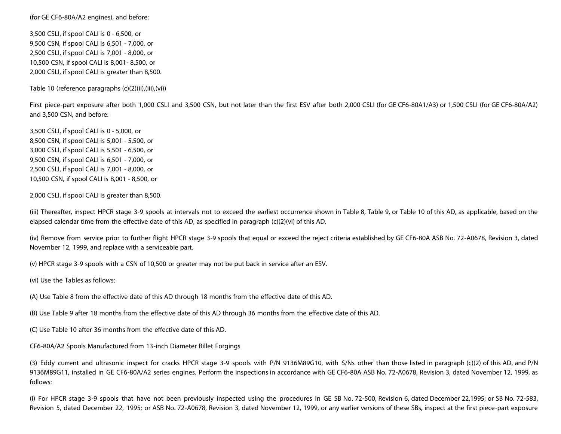(for GE CF6-80A/A2 engines), and before:

3,500 CSLI, if spool CALI is 0 - 6,500, or 9,500 CSN, if spool CALI is 6,501 - 7,000, or 2,500 CSLI, if spool CALI is 7,001 - 8,000, or 10,500 CSN, if spool CALI is 8,001- 8,500, or 2,000 CSLI, if spool CALI is greater than 8,500.

Table 10 (reference paragraphs (c)(2)(ii),(iii),(vi))

First piece-part exposure after both 1,000 CSLI and 3,500 CSN, but not later than the first ESV after both 2,000 CSLI (for GE CF6-80A1/A3) or 1,500 CSLI (for GE CF6-80A/A2) and 3,500 CSN, and before:

3,500 CSLI, if spool CALI is 0 - 5,000, or 8,500 CSN, if spool CALI is 5,001 - 5,500, or 3,000 CSLI, if spool CALI is 5,501 - 6,500, or 9,500 CSN, if spool CALI is 6,501 - 7,000, or 2,500 CSLI, if spool CALI is 7,001 - 8,000, or 10,500 CSN, if spool CALI is 8,001 - 8,500, or

2,000 CSLI, if spool CALI is greater than 8,500.

(iii) Thereafter, inspect HPCR stage 3-9 spools at intervals not to exceed the earliest occurrence shown in Table 8, Table 9, or Table 10 of this AD, as applicable, based on the elapsed calendar time from the effective date of this AD, as specified in paragraph (c)(2)(vi) of this AD.

(iv) Remove from service prior to further flight HPCR stage 3-9 spools that equal or exceed the reject criteria established by GE CF6-80A ASB No. 72-A0678, Revision 3, dated November 12, 1999, and replace with a serviceable part.

(v) HPCR stage 3-9 spools with a CSN of 10,500 or greater may not be put back in service after an ESV.

(vi) Use the Tables as follows:

(A) Use Table 8 from the effective date of this AD through 18 months from the effective date of this AD.

(B) Use Table 9 after 18 months from the effective date of this AD through 36 months from the effective date of this AD.

(C) Use Table 10 after 36 months from the effective date of this AD.

CF6-80A/A2 Spools Manufactured from 13-inch Diameter Billet Forgings

(3) Eddy current and ultrasonic inspect for cracks HPCR stage 3-9 spools with P/N 9136M89G10, with S/Ns other than those listed in paragraph (c)(2) of this AD, and P/N 9136M89G11, installed in GE CF6-80A/A2 series engines. Perform the inspections in accordance with GE CF6-80A ASB No. 72-A0678, Revision 3, dated November 12, 1999, as follows:

(i) For HPCR stage 3-9 spools that have not been previously inspected using the procedures in GE SB No. 72-500, Revision 6, dated December 22,1995; or SB No. 72-583, Revision 5, dated December 22, 1995; or ASB No. 72-A0678, Revision 3, dated November 12, 1999, or any earlier versions of these SBs, inspect at the first piece-part exposure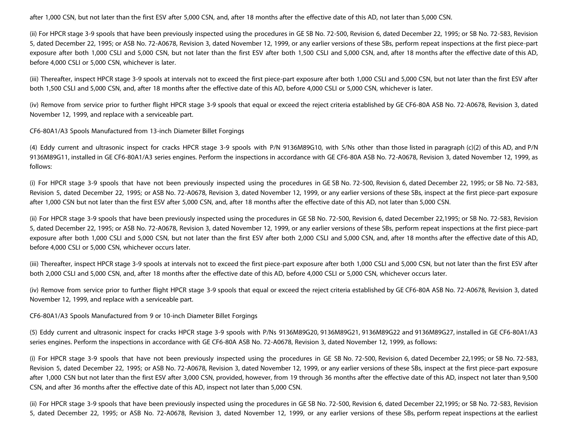after 1,000 CSN, but not later than the first ESV after 5,000 CSN, and, after 18 months after the effective date of this AD, not later than 5,000 CSN.

(ii) For HPCR stage 3-9 spools that have been previously inspected using the procedures in GE SB No. 72-500, Revision 6, dated December 22, 1995; or SB No. 72-583, Revision 5, dated December 22, 1995; or ASB No. 72-A0678, Revision 3, dated November 12, 1999, or any earlier versions of these SBs, perform repeat inspections at the first piece-part exposure after both 1,000 CSLI and 5,000 CSN, but not later than the first ESV after both 1,500 CSLI and 5,000 CSN, and, after 18 months after the effective date of this AD, before 4,000 CSLI or 5,000 CSN, whichever is later.

(iii) Thereafter, inspect HPCR stage 3-9 spools at intervals not to exceed the first piece-part exposure after both 1,000 CSLI and 5,000 CSN, but not later than the first ESV after both 1,500 CSLI and 5,000 CSN, and, after 18 months after the effective date of this AD, before 4,000 CSLI or 5,000 CSN, whichever is later.

(iv) Remove from service prior to further flight HPCR stage 3-9 spools that equal or exceed the reject criteria established by GE CF6-80A ASB No. 72-A0678, Revision 3, dated November 12, 1999, and replace with a serviceable part.

CF6-80A1/A3 Spools Manufactured from 13-inch Diameter Billet Forgings

(4) Eddy current and ultrasonic inspect for cracks HPCR stage 3-9 spools with P/N 9136M89G10, with S/Ns other than those listed in paragraph (c)(2) of this AD, and P/N 9136M89G11, installed in GE CF6-80A1/A3 series engines. Perform the inspections in accordance with GE CF6-80A ASB No. 72-A0678, Revision 3, dated November 12, 1999, as follows:

(i) For HPCR stage 3-9 spools that have not been previously inspected using the procedures in GE SB No. 72-500, Revision 6, dated December 22, 1995; or SB No. 72-583, Revision 5, dated December 22, 1995; or ASB No. 72-A0678, Revision 3, dated November 12, 1999, or any earlier versions of these SBs, inspect at the first piece-part exposure after 1,000 CSN but not later than the first ESV after 5,000 CSN, and, after 18 months after the effective date of this AD, not later than 5,000 CSN.

(ii) For HPCR stage 3-9 spools that have been previously inspected using the procedures in GE SB No. 72-500, Revision 6, dated December 22,1995; or SB No. 72-583, Revision 5, dated December 22, 1995; or ASB No. 72-A0678, Revision 3, dated November 12, 1999, or any earlier versions of these SBs, perform repeat inspections at the first piece-part exposure after both 1,000 CSLI and 5,000 CSN, but not later than the first ESV after both 2,000 CSLI and 5,000 CSN, and, after 18 months after the effective date of this AD, before 4,000 CSLI or 5,000 CSN, whichever occurs later.

(iii) Thereafter, inspect HPCR stage 3-9 spools at intervals not to exceed the first piece-part exposure after both 1,000 CSLI and 5,000 CSN, but not later than the first ESV after both 2,000 CSLI and 5,000 CSN, and, after 18 months after the effective date of this AD, before 4,000 CSLI or 5,000 CSN, whichever occurs later.

(iv) Remove from service prior to further flight HPCR stage 3-9 spools that equal or exceed the reject criteria established by GE CF6-80A ASB No. 72-A0678, Revision 3, dated November 12, 1999, and replace with a serviceable part.

CF6-80A1/A3 Spools Manufactured from 9 or 10-inch Diameter Billet Forgings

(5) Eddy current and ultrasonic inspect for cracks HPCR stage 3-9 spools with P/Ns 9136M89G20, 9136M89G21, 9136M89G22 and 9136M89G27, installed in GE CF6-80A1/A3 series engines. Perform the inspections in accordance with GE CF6-80A ASB No. 72-A0678, Revision 3, dated November 12, 1999, as follows:

(i) For HPCR stage 3-9 spools that have not been previously inspected using the procedures in GE SB No. 72-500, Revision 6, dated December 22,1995; or SB No. 72-583, Revision 5, dated December 22, 1995; or ASB No. 72-A0678, Revision 3, dated November 12, 1999, or any earlier versions of these SBs, inspect at the first piece-part exposure after 1,000 CSN but not later than the first ESV after 3,000 CSN, provided, however, from 19 through 36 months after the effective date of this AD, inspect not later than 9,500 CSN, and after 36 months after the effective date of this AD, inspect not later than 5,000 CSN.

(ii) For HPCR stage 3-9 spools that have been previously inspected using the procedures in GE SB No. 72-500, Revision 6, dated December 22,1995; or SB No. 72-583, Revision 5, dated December 22, 1995; or ASB No. 72-A0678, Revision 3, dated November 12, 1999, or any earlier versions of these SBs, perform repeat inspections at the earliest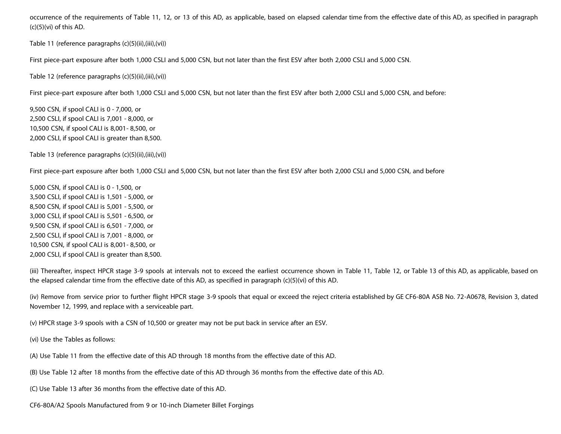occurrence of the requirements of Table 11, 12, or 13 of this AD, as applicable, based on elapsed calendar time from the effective date of this AD, as specified in paragraph  $(c)(5)(vi)$  of this AD.

Table 11 (reference paragraphs (c)(5)(ii),(iii),(vi))

First piece-part exposure after both 1,000 CSLI and 5,000 CSN, but not later than the first ESV after both 2,000 CSLI and 5,000 CSN.

Table 12 (reference paragraphs (c)(5)(ii),(iii),(vi))

First piece-part exposure after both 1,000 CSLI and 5,000 CSN, but not later than the first ESV after both 2,000 CSLI and 5,000 CSN, and before:

9,500 CSN, if spool CALI is 0 - 7,000, or 2,500 CSLI, if spool CALI is 7,001 - 8,000, or 10,500 CSN, if spool CALI is 8,001- 8,500, or 2,000 CSLI, if spool CALI is greater than 8,500.

Table 13 (reference paragraphs (c)(5)(ii),(iii),(vi))

First piece-part exposure after both 1,000 CSLI and 5,000 CSN, but not later than the first ESV after both 2,000 CSLI and 5,000 CSN, and before

5,000 CSN, if spool CALI is 0 - 1,500, or 3,500 CSLI, if spool CALI is 1,501 - 5,000, or 8,500 CSN, if spool CALI is 5,001 - 5,500, or 3,000 CSLI, if spool CALI is 5,501 - 6,500, or 9,500 CSN, if spool CALI is 6,501 - 7,000, or 2,500 CSLI, if spool CALI is 7,001 - 8,000, or 10,500 CSN, if spool CALI is 8,001- 8,500, or 2,000 CSLI, if spool CALI is greater than 8,500.

(iii) Thereafter, inspect HPCR stage 3-9 spools at intervals not to exceed the earliest occurrence shown in Table 11, Table 12, or Table 13 of this AD, as applicable, based on the elapsed calendar time from the effective date of this AD, as specified in paragraph (c)(5)(vi) of this AD.

(iv) Remove from service prior to further flight HPCR stage 3-9 spools that equal or exceed the reject criteria established by GE CF6-80A ASB No. 72-A0678, Revision 3, dated November 12, 1999, and replace with a serviceable part.

(v) HPCR stage 3-9 spools with a CSN of 10,500 or greater may not be put back in service after an ESV.

(vi) Use the Tables as follows:

(A) Use Table 11 from the effective date of this AD through 18 months from the effective date of this AD.

(B) Use Table 12 after 18 months from the effective date of this AD through 36 months from the effective date of this AD.

(C) Use Table 13 after 36 months from the effective date of this AD.

CF6-80A/A2 Spools Manufactured from 9 or 10-inch Diameter Billet Forgings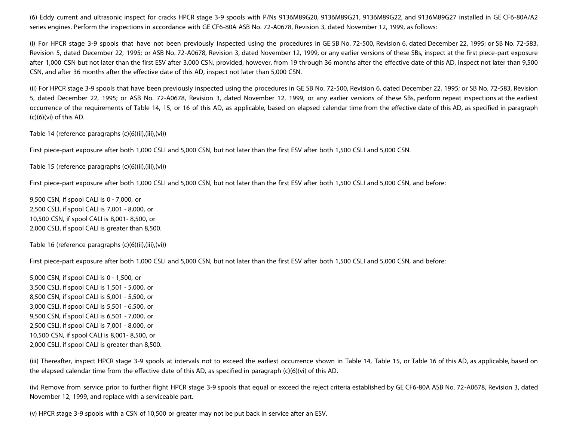(6) Eddy current and ultrasonic inspect for cracks HPCR stage 3-9 spools with P/Ns 9136M89G20, 9136M89G21, 9136M89G22, and 9136M89G27 installed in GE CF6-80A/A2 series engines. Perform the inspections in accordance with GE CF6-80A ASB No. 72-A0678, Revision 3, dated November 12, 1999, as follows:

(i) For HPCR stage 3-9 spools that have not been previously inspected using the procedures in GE SB No. 72-500, Revision 6, dated December 22, 1995; or SB No. 72-583, Revision 5, dated December 22, 1995; or ASB No. 72-A0678, Revision 3, dated November 12, 1999, or any earlier versions of these SBs, inspect at the first piece-part exposure after 1,000 CSN but not later than the first ESV after 3,000 CSN, provided, however, from 19 through 36 months after the effective date of this AD, inspect not later than 9,500 CSN, and after 36 months after the effective date of this AD, inspect not later than 5,000 CSN.

(ii) For HPCR stage 3-9 spools that have been previously inspected using the procedures in GE SB No. 72-500, Revision 6, dated December 22, 1995; or SB No. 72-583, Revision 5, dated December 22, 1995; or ASB No. 72-A0678, Revision 3, dated November 12, 1999, or any earlier versions of these SBs, perform repeat inspections at the earliest occurrence of the requirements of Table 14, 15, or 16 of this AD, as applicable, based on elapsed calendar time from the effective date of this AD, as specified in paragraph  $(c)(6)(vi)$  of this AD.

Table 14 (reference paragraphs (c)(6)(ii),(iii),(vi))

First piece-part exposure after both 1,000 CSLI and 5,000 CSN, but not later than the first ESV after both 1,500 CSLI and 5,000 CSN.

Table 15 (reference paragraphs (c)(6)(ii),(iii),(vi))

First piece-part exposure after both 1,000 CSLI and 5,000 CSN, but not later than the first ESV after both 1,500 CSLI and 5,000 CSN, and before:

9,500 CSN, if spool CALI is 0 - 7,000, or 2,500 CSLI, if spool CALI is 7,001 - 8,000, or 10,500 CSN, if spool CALI is 8,001- 8,500, or 2,000 CSLI, if spool CALI is greater than 8,500.

Table 16 (reference paragraphs (c)(6)(ii),(iii),(vi))

First piece-part exposure after both 1,000 CSLI and 5,000 CSN, but not later than the first ESV after both 1,500 CSLI and 5,000 CSN, and before:

5,000 CSN, if spool CALI is 0 - 1,500, or 3,500 CSLI, if spool CALI is 1,501 - 5,000, or 8,500 CSN, if spool CALI is 5,001 - 5,500, or 3,000 CSLI, if spool CALI is 5,501 - 6,500, or 9,500 CSN, if spool CALI is 6,501 - 7,000, or 2,500 CSLI, if spool CALI is 7,001 - 8,000, or 10,500 CSN, if spool CALI is 8,001- 8,500, or 2,000 CSLI, if spool CALI is greater than 8,500.

(iii) Thereafter, inspect HPCR stage 3-9 spools at intervals not to exceed the earliest occurrence shown in Table 14, Table 15, or Table 16 of this AD, as applicable, based on the elapsed calendar time from the effective date of this AD, as specified in paragraph (c)(6)(vi) of this AD.

(iv) Remove from service prior to further flight HPCR stage 3-9 spools that equal or exceed the reject criteria established by GE CF6-80A ASB No. 72-A0678, Revision 3, dated November 12, 1999, and replace with a serviceable part.

(v) HPCR stage 3-9 spools with a CSN of 10,500 or greater may not be put back in service after an ESV.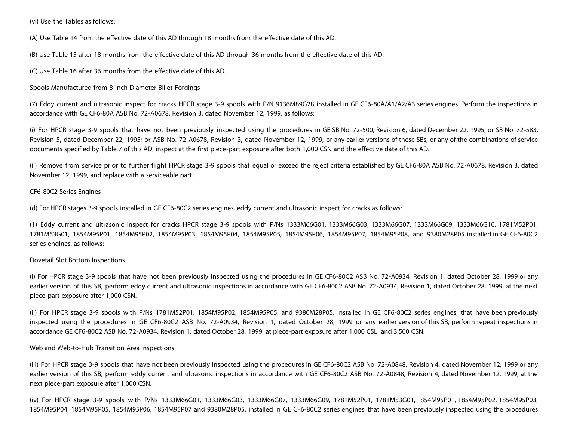(vi) Use the Tables as follows:

(A) Use Table 14 from the effective date of this AD through 18 months from the effective date of this AD.

(B) Use Table 15 after 18 months from the effective date of this AD through 36 months from the effective date of this AD.

(C) Use Table 16 after 36 months from the effective date of this AD.

Spools Manufactured from 8-inch Diameter Billet Forgings

(7) Eddy current and ultrasonic inspect for cracks HPCR stage 3-9 spools with P/N 9136M89G28 installed in GE CF6-80A/A1/A2/A3 series engines. Perform the inspections in accordance with GE CF6-80A ASB No. 72-A0678, Revision 3, dated November 12, 1999, as follows:

(i) For HPCR stage 3-9 spools that have not been previously inspected using the procedures in GE SB No. 72-500, Revision 6, dated December 22, 1995; or SB No. 72-583, Revision 5, dated December 22, 1995; or ASB No. 72-A0678, Revision 3, dated November 12, 1999, or any earlier versions of these SBs, or any of the combinations of service documents specified by Table 7 of this AD, inspect at the first piece-part exposure after both 1,000 CSN and the effective date of this AD.

(ii) Remove from service prior to further flight HPCR stage 3-9 spools that equal or exceed the reject criteria established by GE CF6-80A ASB No. 72-A0678, Revision 3, dated November 12, 1999, and replace with a serviceable part.

#### CF6-80C2 Series Engines

(d) For HPCR stages 3-9 spools installed in GE CF6-80C2 series engines, eddy current and ultrasonic inspect for cracks as follows:

(1) Eddy current and ultrasonic inspect for cracks HPCR stage 3-9 spools with P/Ns 1333M66G01, 1333M66G03, 1333M66G07, 1333M66G09, 1333M66G10, 1781M52P01, 1781M53G01, 1854M95P01, 1854M95P02, 1854M95P03, 1854M95P04, 1854M95P05, 1854M95P06, 1854M95P07, 1854M95P08, and 9380M28P05 installed in GE CF6-80C2 series engines, as follows:

## Dovetail Slot Bottom Inspections

(i) For HPCR stage 3-9 spools that have not been previously inspected using the procedures in GE CF6-80C2 ASB No. 72-A0934, Revision 1, dated October 28, 1999 or any earlier version of this SB, perform eddy current and ultrasonic inspections in accordance with GE CF6-80C2 ASB No. 72-A0934, Revision 1, dated October 28, 1999, at the next piece-part exposure after 1,000 CSN.

(ii) For HPCR stage 3-9 spools with P/Ns 1781M52P01, 1854M95P02, 1854M95P05, and 9380M28P05, installed in GE CF6-80C2 series engines, that have been previously inspected using the procedures in GE CF6-80C2 ASB No. 72-A0934, Revision 1, dated October 28, 1999 or any earlier version of this SB, perform repeat inspections in accordance GE CF6-80C2 ASB No. 72-A0934, Revision 1, dated October 28, 1999, at piece-part exposure after 1,000 CSLI and 3,500 CSN.

#### Web and Web-to-Hub Transition Area Inspections

(iii) For HPCR stage 3-9 spools that have not been previously inspected using the procedures in GE CF6-80C2 ASB No. 72-A0848, Revision 4, dated November 12, 1999 or any earlier version of this SB, perform eddy current and ultrasonic inspections in accordance with GE CF6-80C2 ASB No. 72-A0848, Revision 4, dated November 12, 1999, at the next piece-part exposure after 1,000 CSN.

(iv) For HPCR stage 3-9 spools with P/Ns 1333M66G01, 1333M66G03, 1333M66G07, 1333M66G09, 1781M52P01, 1781M53G01, 1854M95P01, 1854M95P02, 1854M95P03, 1854M95P04, 1854M95P05, 1854M95P06, 1854M95P07 and 9380M28P05, installed in GE CF6-80C2 series engines, that have been previously inspected using the procedures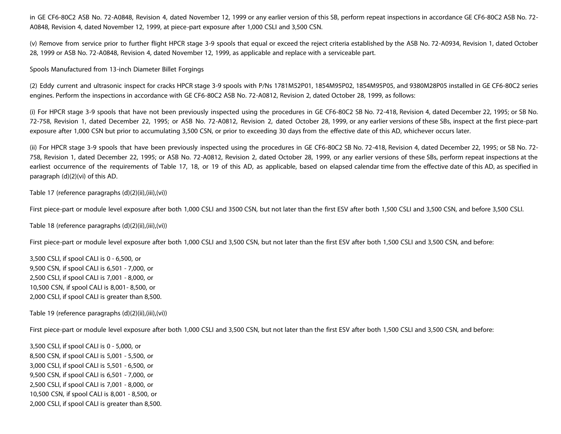in GE CF6-80C2 ASB No. 72-A0848, Revision 4, dated November 12, 1999 or any earlier version of this SB, perform repeat inspections in accordance GE CF6-80C2 ASB No. 72- A0848, Revision 4, dated November 12, 1999, at piece-part exposure after 1,000 CSLI and 3,500 CSN.

(v) Remove from service prior to further flight HPCR stage 3-9 spools that equal or exceed the reject criteria established by the ASB No. 72-A0934, Revision 1, dated October 28, 1999 or ASB No. 72-A0848, Revision 4, dated November 12, 1999, as applicable and replace with a serviceable part.

Spools Manufactured from 13-inch Diameter Billet Forgings

(2) Eddy current and ultrasonic inspect for cracks HPCR stage 3-9 spools with P/Ns 1781M52P01, 1854M95P02, 1854M95P05, and 9380M28P05 installed in GE CF6-80C2 series engines. Perform the inspections in accordance with GE CF6-80C2 ASB No. 72-A0812, Revision 2, dated October 28, 1999, as follows:

(i) For HPCR stage 3-9 spools that have not been previously inspected using the procedures in GE CF6-80C2 SB No. 72-418, Revision 4, dated December 22, 1995; or SB No. 72-758, Revision 1, dated December 22, 1995; or ASB No. 72-A0812, Revision 2, dated October 28, 1999, or any earlier versions of these SBs, inspect at the first piece-part exposure after 1,000 CSN but prior to accumulating 3,500 CSN, or prior to exceeding 30 days from the effective date of this AD, whichever occurs later.

(ii) For HPCR stage 3-9 spools that have been previously inspected using the procedures in GE CF6-80C2 SB No. 72-418, Revision 4, dated December 22, 1995; or SB No. 72- 758, Revision 1, dated December 22, 1995; or ASB No. 72-A0812, Revision 2, dated October 28, 1999, or any earlier versions of these SBs, perform repeat inspections at the earliest occurrence of the requirements of Table 17, 18, or 19 of this AD, as applicable, based on elapsed calendar time from the effective date of this AD, as specified in paragraph (d)(2)(vi) of this AD.

Table 17 (reference paragraphs (d)(2)(ii),(iii),(vi))

First piece-part or module level exposure after both 1,000 CSLI and 3500 CSN, but not later than the first ESV after both 1,500 CSLI and 3,500 CSN, and before 3,500 CSLI.

Table 18 (reference paragraphs (d)(2)(ii),(iii),(vi))

First piece-part or module level exposure after both 1,000 CSLI and 3,500 CSN, but not later than the first ESV after both 1,500 CSLI and 3,500 CSN, and before:

3,500 CSLI, if spool CALI is 0 - 6,500, or 9,500 CSN, if spool CALI is 6,501 - 7,000, or 2,500 CSLI, if spool CALI is 7,001 - 8,000, or 10,500 CSN, if spool CALI is 8,001- 8,500, or 2,000 CSLI, if spool CALI is greater than 8,500.

Table 19 (reference paragraphs (d)(2)(ii),(iii),(vi))

First piece-part or module level exposure after both 1,000 CSLI and 3,500 CSN, but not later than the first ESV after both 1,500 CSLI and 3,500 CSN, and before:

3,500 CSLI, if spool CALI is 0 - 5,000, or 8,500 CSN, if spool CALI is 5,001 - 5,500, or 3,000 CSLI, if spool CALI is 5,501 - 6,500, or 9,500 CSN, if spool CALI is 6,501 - 7,000, or 2,500 CSLI, if spool CALI is 7,001 - 8,000, or 10,500 CSN, if spool CALI is 8,001 - 8,500, or 2,000 CSLI, if spool CALI is greater than 8,500.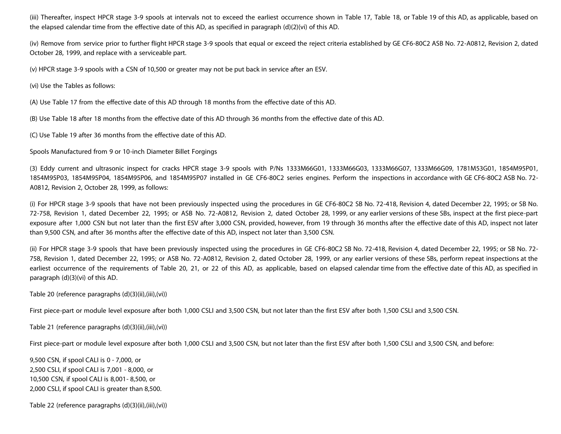(iii) Thereafter, inspect HPCR stage 3-9 spools at intervals not to exceed the earliest occurrence shown in Table 17, Table 18, or Table 19 of this AD, as applicable, based on the elapsed calendar time from the effective date of this AD, as specified in paragraph (d)(2)(vi) of this AD.

(iv) Remove from service prior to further flight HPCR stage 3-9 spools that equal or exceed the reject criteria established by GE CF6-80C2 ASB No. 72-A0812, Revision 2, dated October 28, 1999, and replace with a serviceable part.

(v) HPCR stage 3-9 spools with a CSN of 10,500 or greater may not be put back in service after an ESV.

(vi) Use the Tables as follows:

(A) Use Table 17 from the effective date of this AD through 18 months from the effective date of this AD.

(B) Use Table 18 after 18 months from the effective date of this AD through 36 months from the effective date of this AD.

(C) Use Table 19 after 36 months from the effective date of this AD.

Spools Manufactured from 9 or 10-inch Diameter Billet Forgings

(3) Eddy current and ultrasonic inspect for cracks HPCR stage 3-9 spools with P/Ns 1333M66G01, 1333M66G03, 1333M66G07, 1333M66G09, 1781M53G01, 1854M95P01, 1854M95P03, 1854M95P04, 1854M95P06, and 1854M95P07 installed in GE CF6-80C2 series engines. Perform the inspections in accordance with GE CF6-80C2 ASB No. 72- A0812, Revision 2, October 28, 1999, as follows:

(i) For HPCR stage 3-9 spools that have not been previously inspected using the procedures in GE CF6-80C2 SB No. 72-418, Revision 4, dated December 22, 1995; or SB No. 72-758, Revision 1, dated December 22, 1995; or ASB No. 72-A0812, Revision 2, dated October 28, 1999, or any earlier versions of these SBs, inspect at the first piece-part exposure after 1,000 CSN but not later than the first ESV after 3,000 CSN, provided, however, from 19 through 36 months after the effective date of this AD, inspect not later than 9,500 CSN, and after 36 months after the effective date of this AD, inspect not later than 3,500 CSN.

(ii) For HPCR stage 3-9 spools that have been previously inspected using the procedures in GE CF6-80C2 SB No. 72-418, Revision 4, dated December 22, 1995; or SB No. 72- 758, Revision 1, dated December 22, 1995; or ASB No. 72-A0812, Revision 2, dated October 28, 1999, or any earlier versions of these SBs, perform repeat inspections at the earliest occurrence of the requirements of Table 20, 21, or 22 of this AD, as applicable, based on elapsed calendar time from the effective date of this AD, as specified in paragraph (d)(3)(vi) of this AD.

Table 20 (reference paragraphs (d)(3)(ii),(iii),(vi))

First piece-part or module level exposure after both 1,000 CSLI and 3,500 CSN, but not later than the first ESV after both 1,500 CSLI and 3,500 CSN.

Table 21 (reference paragraphs (d)(3)(ii),(iii),(vi))

First piece-part or module level exposure after both 1,000 CSLI and 3,500 CSN, but not later than the first ESV after both 1,500 CSLI and 3,500 CSN. and before:

9,500 CSN, if spool CALI is 0 - 7,000, or 2,500 CSLI, if spool CALI is 7,001 - 8,000, or 10,500 CSN, if spool CALI is 8,001- 8,500, or 2,000 CSLI, if spool CALI is greater than 8,500.

Table 22 (reference paragraphs (d)(3)(ii),(iii),(vi))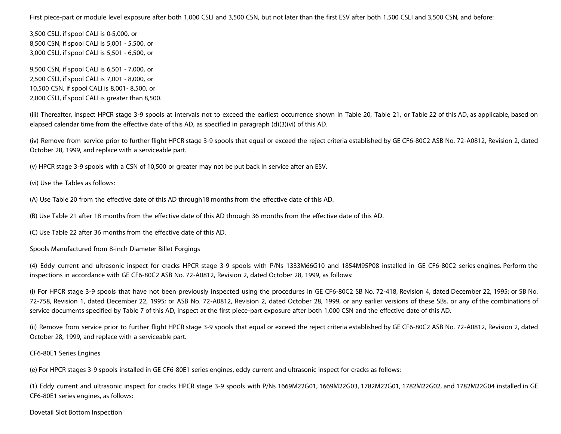First piece-part or module level exposure after both 1,000 CSLI and 3,500 CSN, but not later than the first ESV after both 1,500 CSLI and 3,500 CSN, and before:

3,500 CSLI, if spool CALI is 0 5,000, or 8,500 CSN, if spool CALI is 5,001 - 5,500, or 3,000 CSLI, if spool CALI is 5,501 - 6,500, or

9,500 CSN, if spool CALI is 6,501 - 7,000, or 2,500 CSLI, if spool CALI is 7,001 - 8,000, or 10,500 CSN, if spool CALI is 8,001- 8,500, or 2,000 CSLI, if spool CALI is greater than 8,500.

(iii) Thereafter, inspect HPCR stage 3-9 spools at intervals not to exceed the earliest occurrence shown in Table 20, Table 21, or Table 22 of this AD, as applicable, based on elapsed calendar time from the effective date of this AD, as specified in paragraph (d)(3)(vi) of this AD.

(iv) Remove from service prior to further flight HPCR stage 3-9 spools that equal or exceed the reject criteria established by GE CF6-80C2 ASB No. 72-A0812, Revision 2, dated October 28, 1999, and replace with a serviceable part.

(v) HPCR stage 3-9 spools with a CSN of 10,500 or greater may not be put back in service after an ESV.

(vi) Use the Tables as follows:

(A) Use Table 20 from the effective date of this AD through18 months from the effective date of this AD.

(B) Use Table 21 after 18 months from the effective date of this AD through 36 months from the effective date of this AD.

(C) Use Table 22 after 36 months from the effective date of this AD.

Spools Manufactured from 8-inch Diameter Billet Forgings

(4) Eddy current and ultrasonic inspect for cracks HPCR stage 3-9 spools with P/Ns 1333M66G10 and 1854M95P08 installed in GE CF6-80C2 series engines. Perform the inspections in accordance with GE CF6-80C2 ASB No. 72-A0812, Revision 2, dated October 28, 1999, as follows:

(i) For HPCR stage 3-9 spools that have not been previously inspected using the procedures in GE CF6-80C2 SB No. 72-418, Revision 4, dated December 22, 1995; or SB No. 72-758, Revision 1, dated December 22, 1995; or ASB No. 72-A0812, Revision 2, dated October 28, 1999, or any earlier versions of these SBs, or any of the combinations of service documents specified by Table 7 of this AD, inspect at the first piece-part exposure after both 1,000 CSN and the effective date of this AD.

(ii) Remove from service prior to further flight HPCR stage 3-9 spools that equal or exceed the reject criteria established by GE CF6-80C2 ASB No. 72-A0812, Revision 2, dated October 28, 1999, and replace with a serviceable part.

## CF6-80E1 Series Engines

(e) For HPCR stages 3-9 spools installed in GE CF6-80E1 series engines, eddy current and ultrasonic inspect for cracks as follows:

(1) Eddy current and ultrasonic inspect for cracks HPCR stage 3-9 spools with P/Ns 1669M22G01, 1669M22G03, 1782M22G01, 1782M22G02, and 1782M22G04 installed in GE CF6-80E1 series engines, as follows:

Dovetail Slot Bottom Inspection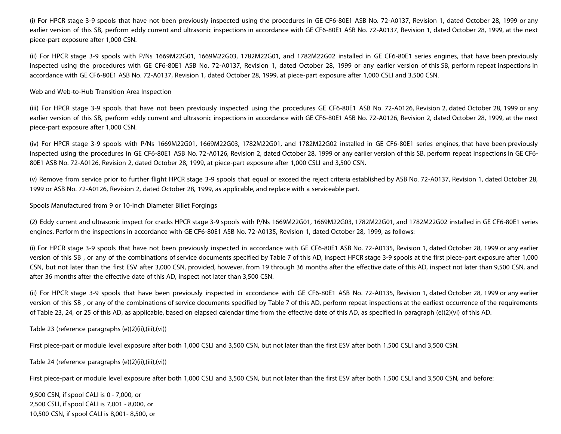(i) For HPCR stage 3-9 spools that have not been previously inspected using the procedures in GE CF6-80E1 ASB No. 72-A0137, Revision 1, dated October 28, 1999 or any earlier version of this SB, perform eddy current and ultrasonic inspections in accordance with GE CF6-80E1 ASB No. 72-A0137, Revision 1, dated October 28, 1999, at the next piece-part exposure after 1,000 CSN.

(ii) For HPCR stage 3-9 spools with P/Ns 1669M22G01, 1669M22G03, 1782M22G01, and 1782M22G02 installed in GE CF6-80E1 series engines, that have been previously inspected using the procedures with GE CF6-80E1 ASB No. 72-A0137, Revision 1, dated October 28, 1999 or any earlier version of this SB, perform repeat inspections in accordance with GE CF6-80E1 ASB No. 72-A0137, Revision 1, dated October 28, 1999, at piece-part exposure after 1,000 CSLI and 3,500 CSN.

#### Web and Web-to-Hub Transition Area Inspection

(iii) For HPCR stage 3-9 spools that have not been previously inspected using the procedures GE CF6-80E1 ASB No. 72-A0126, Revision 2, dated October 28, 1999 or any earlier version of this SB, perform eddy current and ultrasonic inspections in accordance with GE CF6-80E1 ASB No. 72-A0126, Revision 2, dated October 28, 1999, at the next piece-part exposure after 1,000 CSN.

(iv) For HPCR stage 3-9 spools with P/Ns 1669M22G01, 1669M22G03, 1782M22G01, and 1782M22G02 installed in GE CF6-80E1 series engines, that have been previously inspected using the procedures in GE CF6-80E1 ASB No. 72-A0126, Revision 2, dated October 28, 1999 or any earlier version of this SB, perform repeat inspections in GE CF6- 80E1 ASB No. 72-A0126, Revision 2, dated October 28, 1999, at piece-part exposure after 1,000 CSLI and 3,500 CSN.

(v) Remove from service prior to further flight HPCR stage 3-9 spools that equal or exceed the reject criteria established by ASB No. 72-A0137, Revision 1, dated October 28, 1999 or ASB No. 72-A0126, Revision 2, dated October 28, 1999, as applicable, and replace with a serviceable part.

Spools Manufactured from 9 or 10-inch Diameter Billet Forgings

(2) Eddy current and ultrasonic inspect for cracks HPCR stage 3-9 spools with P/Ns 1669M22G01, 1669M22G03, 1782M22G01, and 1782M22G02 installed in GE CF6-80E1 series engines. Perform the inspections in accordance with GE CF6-80E1 ASB No. 72-A0135, Revision 1, dated October 28, 1999, as follows:

(i) For HPCR stage 3-9 spools that have not been previously inspected in accordance with GE CF6-80E1 ASB No. 72-A0135, Revision 1, dated October 28, 1999 or any earlier version of this SB , or any of the combinations of service documents specified by Table 7 of this AD, inspect HPCR stage 3-9 spools at the first piece-part exposure after 1,000 CSN, but not later than the first ESV after 3,000 CSN, provided, however, from 19 through 36 months after the effective date of this AD, inspect not later than 9,500 CSN, and after 36 months after the effective date of this AD, inspect not later than 3,500 CSN.

(ii) For HPCR stage 3-9 spools that have been previously inspected in accordance with GE CF6-80E1 ASB No. 72-A0135, Revision 1, dated October 28, 1999 or any earlier version of this SB , or any of the combinations of service documents specified by Table 7 of this AD, perform repeat inspections at the earliest occurrence of the requirements of Table 23, 24, or 25 of this AD, as applicable, based on elapsed calendar time from the effective date of this AD, as specified in paragraph (e)(2)(vi) of this AD.

#### Table 23 (reference paragraphs (e)(2)(ii),(iii),(vi))

First piece-part or module level exposure after both 1,000 CSLI and 3,500 CSN, but not later than the first ESV after both 1,500 CSLI and 3,500 CSN.

Table 24 (reference paragraphs (e)(2)(ii),(iii),(vi))

First piece-part or module level exposure after both 1,000 CSLI and 3,500 CSN, but not later than the first ESV after both 1,500 CSLI and 3,500 CSN, and before:

9,500 CSN, if spool CALI is 0 - 7,000, or 2,500 CSLI, if spool CALI is 7,001 - 8,000, or 10,500 CSN, if spool CALI is 8,001- 8,500, or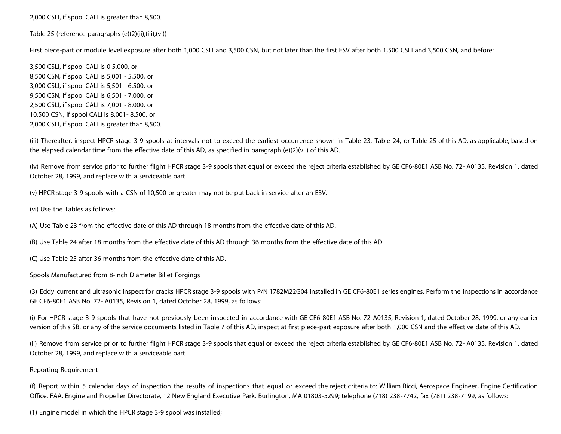2,000 CSLI, if spool CALI is greater than 8,500.

Table 25 (reference paragraphs (e)(2)(ii),(iii),(vi))

First piece-part or module level exposure after both 1,000 CSLI and 3,500 CSN, but not later than the first ESV after both 1,500 CSLI and 3,500 CSN, and before:

3,500 CSLI, if spool CALI is 0 5,000, or 8,500 CSN, if spool CALI is 5,001 - 5,500, or 3,000 CSLI, if spool CALI is 5,501 - 6,500, or 9,500 CSN, if spool CALI is 6,501 - 7,000, or 2,500 CSLI, if spool CALI is 7,001 - 8,000, or 10,500 CSN, if spool CALI is 8,001- 8,500, or 2,000 CSLI, if spool CALI is greater than 8,500.

(iii) Thereafter, inspect HPCR stage 3-9 spools at intervals not to exceed the earliest occurrence shown in Table 23, Table 24, or Table 25 of this AD, as applicable, based on the elapsed calendar time from the effective date of this AD, as specified in paragraph (e)(2)(vi ) of this AD.

(iv) Remove from service prior to further flight HPCR stage 3-9 spools that equal or exceed the reject criteria established by GE CF6-80E1 ASB No. 72- A0135, Revision 1, dated October 28, 1999, and replace with a serviceable part.

(v) HPCR stage 3-9 spools with a CSN of 10,500 or greater may not be put back in service after an ESV.

(vi) Use the Tables as follows:

(A) Use Table 23 from the effective date of this AD through 18 months from the effective date of this AD.

(B) Use Table 24 after 18 months from the effective date of this AD through 36 months from the effective date of this AD.

(C) Use Table 25 after 36 months from the effective date of this AD.

Spools Manufactured from 8-inch Diameter Billet Forgings

(3) Eddy current and ultrasonic inspect for cracks HPCR stage 3-9 spools with P/N 1782M22G04 installed in GE CF6-80E1 series engines. Perform the inspections in accordance GE CF6-80E1 ASB No. 72- A0135, Revision 1, dated October 28, 1999, as follows:

(i) For HPCR stage 3-9 spools that have not previously been inspected in accordance with GE CF6-80E1 ASB No. 72-A0135, Revision 1, dated October 28, 1999, or any earlier version of this SB, or any of the service documents listed in Table 7 of this AD, inspect at first piece-part exposure after both 1,000 CSN and the effective date of this AD.

(ii) Remove from service prior to further flight HPCR stage 3-9 spools that equal or exceed the reject criteria established by GE CF6-80E1 ASB No. 72- A0135, Revision 1, dated October 28, 1999, and replace with a serviceable part.

#### Reporting Requirement

(f) Report within 5 calendar days of inspection the results of inspections that equal or exceed the reject criteria to: William Ricci, Aerospace Engineer, Engine Certification Office, FAA, Engine and Propeller Directorate, 12 New England Executive Park, Burlington, MA 01803-5299; telephone (718) 238-7742, fax (781) 238-7199, as follows:

(1) Engine model in which the HPCR stage 3-9 spool was installed;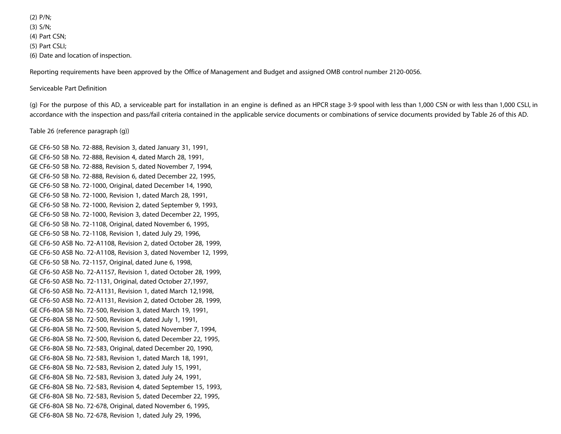(2) P/N; (3) S/N; (4) Part CSN; (5) Part CSLI; (6) Date and location of inspection.

Reporting requirements have been approved by the Office of Management and Budget and assigned OMB control number 2120-0056.

### Serviceable Part Definition

(g) For the purpose of this AD, a serviceable part for installation in an engine is defined as an HPCR stage 3-9 spool with less than 1,000 CSN or with less than 1,000 CSLI, in accordance with the inspection and pass/fail criteria contained in the applicable service documents or combinations of service documents provided by Table 26 of this AD.

## Table 26 (reference paragraph (g))

GE CF6-50 SB No. 72-888, Revision 3, dated January 31, 1991, GE CF6-50 SB No. 72-888, Revision 4, dated March 28, 1991, GE CF6-50 SB No. 72-888, Revision 5, dated November 7, 1994, GE CF6-50 SB No. 72-888, Revision 6, dated December 22, 1995, GE CF6-50 SB No. 72-1000, Original, dated December 14, 1990, GE CF6-50 SB No. 72-1000, Revision 1, dated March 28, 1991, GE CF6-50 SB No. 72-1000, Revision 2, dated September 9, 1993, GE CF6-50 SB No. 72-1000, Revision 3, dated December 22, 1995, GE CF6-50 SB No. 72-1108, Original, dated November 6, 1995, GE CF6-50 SB No. 72-1108, Revision 1, dated July 29, 1996, GE CF6-50 ASB No. 72-A1108, Revision 2, dated October 28, 1999, GE CF6-50 ASB No. 72-A1108, Revision 3, dated November 12, 1999, GE CF6-50 SB No. 72-1157, Original, dated June 6, 1998, GE CF6-50 ASB No. 72-A1157, Revision 1, dated October 28, 1999, GE CF6-50 ASB No. 72-1131, Original, dated October 27,1997, GE CF6-50 ASB No. 72-A1131, Revision 1, dated March 12,1998, GE CF6-50 ASB No. 72-A1131, Revision 2, dated October 28, 1999, GE CF6-80A SB No. 72-500, Revision 3, dated March 19, 1991, GE CF6-80A SB No. 72-500, Revision 4, dated July 1, 1991, GE CF6-80A SB No. 72-500, Revision 5, dated November 7, 1994, GE CF6-80A SB No. 72-500, Revision 6, dated December 22, 1995, GE CF6-80A SB No. 72-583, Original, dated December 20, 1990, GE CF6-80A SB No. 72-583, Revision 1, dated March 18, 1991, GE CF6-80A SB No. 72-583, Revision 2, dated July 15, 1991, GE CF6-80A SB No. 72-583, Revision 3, dated July 24, 1991, GE CF6-80A SB No. 72-583, Revision 4, dated September 15, 1993, GE CF6-80A SB No. 72-583, Revision 5, dated December 22, 1995, GE CF6-80A SB No. 72-678, Original, dated November 6, 1995, GE CF6-80A SB No. 72-678, Revision 1, dated July 29, 1996,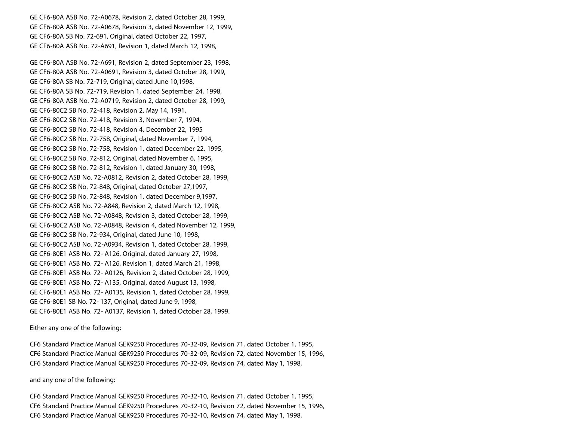GE CF6-80A ASB No. 72-A0678, Revision 2, dated October 28, 1999, GE CF6-80A ASB No. 72-A0678, Revision 3, dated November 12, 1999, GE CF6-80A SB No. 72-691, Original, dated October 22, 1997, GE CF6-80A ASB No. 72-A691, Revision 1, dated March 12, 1998,

GE CF6-80A ASB No. 72-A691, Revision 2, dated September 23, 1998, GE CF6-80A ASB No. 72-A0691, Revision 3, dated October 28, 1999, GE CF6-80A SB No. 72-719, Original, dated June 10,1998, GE CF6-80A SB No. 72-719, Revision 1, dated September 24, 1998, GE CF6-80A ASB No. 72-A0719, Revision 2, dated October 28, 1999, GE CF6-80C2 SB No. 72-418, Revision 2, May 14, 1991, GE CF6-80C2 SB No. 72-418, Revision 3, November 7, 1994, GE CF6-80C2 SB No. 72-418, Revision 4, December 22, 1995 GE CF6-80C2 SB No. 72-758, Original, dated November 7, 1994, GE CF6-80C2 SB No. 72-758, Revision 1, dated December 22, 1995, GE CF6-80C2 SB No. 72-812, Original, dated November 6, 1995, GE CF6-80C2 SB No. 72-812, Revision 1, dated January 30, 1998, GE CF6-80C2 ASB No. 72-A0812, Revision 2, dated October 28, 1999, GE CF6-80C2 SB No. 72-848, Original, dated October 27,1997, GE CF6-80C2 SB No. 72-848, Revision 1, dated December 9,1997, GE CF6-80C2 ASB No. 72-A848, Revision 2, dated March 12, 1998, GE CF6-80C2 ASB No. 72-A0848, Revision 3, dated October 28, 1999, GE CF6-80C2 ASB No. 72-A0848, Revision 4, dated November 12, 1999, GE CF6-80C2 SB No. 72-934, Original, dated June 10, 1998, GE CF6-80C2 ASB No. 72-A0934, Revision 1, dated October 28, 1999, GE CF6-80E1 ASB No. 72- A126, Original, dated January 27, 1998, GE CF6-80E1 ASB No. 72- A126, Revision 1, dated March 21, 1998, GE CF6-80E1 ASB No. 72- A0126, Revision 2, dated October 28, 1999, GE CF6-80E1 ASB No. 72- A135, Original, dated August 13, 1998, GE CF6-80E1 ASB No. 72- A0135, Revision 1, dated October 28, 1999, GE CF6-80E1 SB No. 72- 137, Original, dated June 9, 1998, GE CF6-80E1 ASB No. 72- A0137, Revision 1, dated October 28, 1999.

#### Either any one of the following:

CF6 Standard Practice Manual GEK9250 Procedures 70-32-09, Revision 71, dated October 1, 1995, CF6 Standard Practice Manual GEK9250 Procedures 70-32-09, Revision 72, dated November 15, 1996, CF6 Standard Practice Manual GEK9250 Procedures 70-32-09, Revision 74, dated May 1, 1998,

and any one of the following:

CF6 Standard Practice Manual GEK9250 Procedures 70-32-10, Revision 71, dated October 1, 1995, CF6 Standard Practice Manual GEK9250 Procedures 70-32-10, Revision 72, dated November 15, 1996, CF6 Standard Practice Manual GEK9250 Procedures 70-32-10, Revision 74, dated May 1, 1998,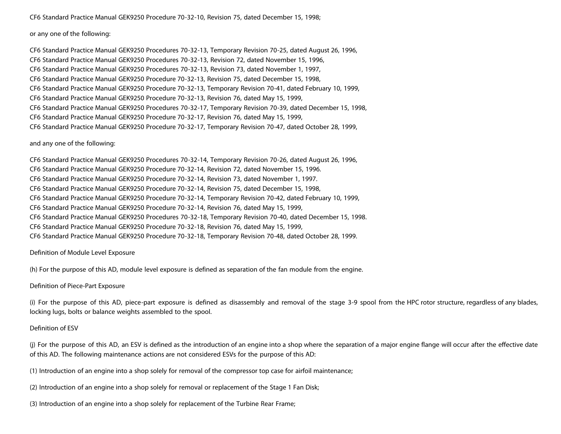CF6 Standard Practice Manual GEK9250 Procedure 70-32-10, Revision 75, dated December 15, 1998;

## or any one of the following:

CF6 Standard Practice Manual GEK9250 Procedures 70-32-13, Temporary Revision 70-25, dated August 26, 1996, CF6 Standard Practice Manual GEK9250 Procedures 70-32-13, Revision 72, dated November 15, 1996, CF6 Standard Practice Manual GEK9250 Procedures 70-32-13, Revision 73, dated November 1, 1997, CF6 Standard Practice Manual GEK9250 Procedure 70-32-13, Revision 75, dated December 15, 1998, CF6 Standard Practice Manual GEK9250 Procedure 70-32-13, Temporary Revision 70-41, dated February 10, 1999, CF6 Standard Practice Manual GEK9250 Procedure 70-32-13, Revision 76, dated May 15, 1999, CF6 Standard Practice Manual GEK9250 Procedures 70-32-17, Temporary Revision 70-39, dated December 15, 1998, CF6 Standard Practice Manual GEK9250 Procedure 70-32-17, Revision 76, dated May 15, 1999, CF6 Standard Practice Manual GEK9250 Procedure 70-32-17, Temporary Revision 70-47, dated October 28, 1999,

#### and any one of the following:

CF6 Standard Practice Manual GEK9250 Procedures 70-32-14, Temporary Revision 70-26, dated August 26, 1996, CF6 Standard Practice Manual GEK9250 Procedure 70-32-14, Revision 72, dated November 15, 1996. CF6 Standard Practice Manual GEK9250 Procedure 70-32-14, Revision 73, dated November 1, 1997. CF6 Standard Practice Manual GEK9250 Procedure 70-32-14, Revision 75, dated December 15, 1998, CF6 Standard Practice Manual GEK9250 Procedure 70-32-14, Temporary Revision 70-42, dated February 10, 1999, CF6 Standard Practice Manual GEK9250 Procedure 70-32-14, Revision 76, dated May 15, 1999, CF6 Standard Practice Manual GEK9250 Procedures 70-32-18, Temporary Revision 70-40, dated December 15, 1998. CF6 Standard Practice Manual GEK9250 Procedure 70-32-18, Revision 76, dated May 15, 1999, CF6 Standard Practice Manual GEK9250 Procedure 70-32-18, Temporary Revision 70-48, dated October 28, 1999.

## Definition of Module Level Exposure

(h) For the purpose of this AD, module level exposure is defined as separation of the fan module from the engine.

#### Definition of Piece-Part Exposure

(i) For the purpose of this AD, piece-part exposure is defined as disassembly and removal of the stage 3-9 spool from the HPC rotor structure, regardless of any blades, locking lugs, bolts or balance weights assembled to the spool.

#### Definition of ESV

(j) For the purpose of this AD, an ESV is defined as the introduction of an engine into a shop where the separation of a major engine flange will occur after the effective date of this AD. The following maintenance actions are not considered ESVs for the purpose of this AD:

(1) Introduction of an engine into a shop solely for removal of the compressor top case for airfoil maintenance;

(2) Introduction of an engine into a shop solely for removal or replacement of the Stage 1 Fan Disk;

(3) Introduction of an engine into a shop solely for replacement of the Turbine Rear Frame;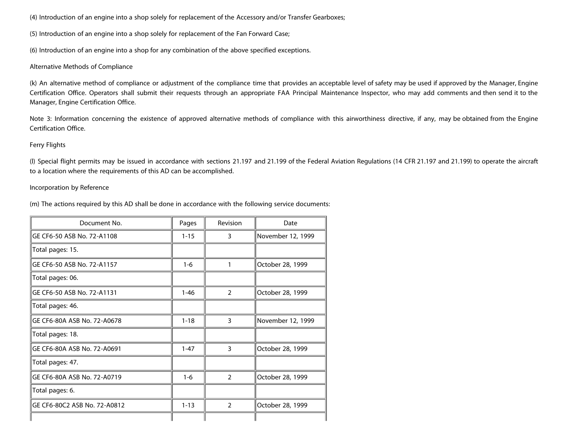(4) Introduction of an engine into a shop solely for replacement of the Accessory and/or Transfer Gearboxes;

(5) Introduction of an engine into a shop solely for replacement of the Fan Forward Case;

(6) Introduction of an engine into a shop for any combination of the above specified exceptions.

## Alternative Methods of Compliance

(k) An alternative method of compliance or adjustment of the compliance time that provides an acceptable level of safety may be used if approved by the Manager, Engine Certification Office. Operators shall submit their requests through an appropriate FAA Principal Maintenance Inspector, who may add comments and then send it to the Manager, Engine Certification Office.

Note 3: Information concerning the existence of approved alternative methods of compliance with this airworthiness directive, if any, may be obtained from the Engine Certification Office.

## Ferry Flights

(l) Special flight permits may be issued in accordance with sections 21.197 and 21.199 of the Federal Aviation Regulations (14 CFR 21.197 and 21.199) to operate the aircraft to a location where the requirements of this AD can be accomplished.

## Incorporation by Reference

(m) The actions required by this AD shall be done in accordance with the following service documents:

| Document No.                 | Pages    | Revision      | Date              |
|------------------------------|----------|---------------|-------------------|
| GE CF6-50 ASB No. 72-A1108   | $1 - 15$ | 3             | November 12, 1999 |
| Total pages: 15.             |          |               |                   |
| GE CF6-50 ASB No. 72-A1157   | $1 - 6$  |               | October 28, 1999  |
| Total pages: 06.             |          |               |                   |
| GE CF6-50 ASB No. 72-A1131   | $1 - 46$ | 2             | October 28, 1999  |
| Total pages: 46.             |          |               |                   |
| GE CF6-80A ASB No. 72-A0678  | $1 - 18$ | 3             | November 12, 1999 |
| Total pages: 18.             |          |               |                   |
| GF CF6-80A ASB No. 72-A0691  | $1 - 47$ | 3             | October 28, 1999  |
| Total pages: 47.             |          |               |                   |
| GE CF6-80A ASB No. 72-A0719  | $1 - 6$  | $\mathcal{P}$ | October 28, 1999  |
| Total pages: 6.              |          |               |                   |
| GE CF6-80C2 ASB No. 72-A0812 | $1 - 13$ | $\mathcal{P}$ | October 28, 1999  |
|                              |          |               |                   |